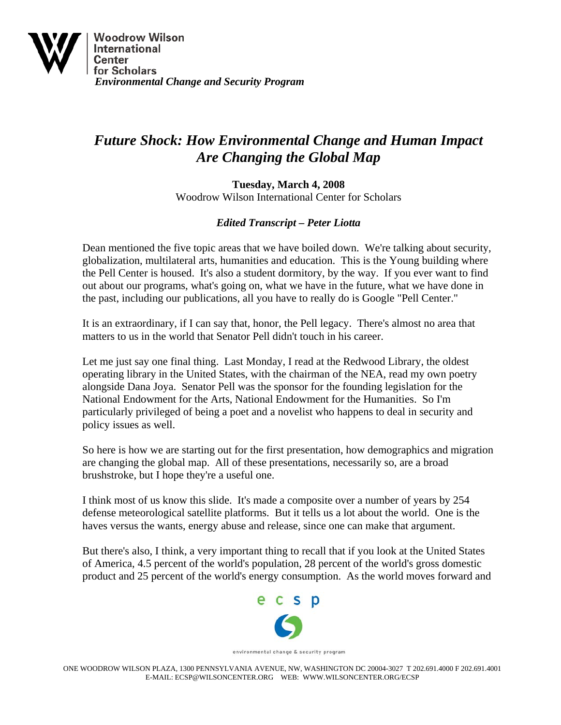

## *Future Shock: How Environmental Change and Human Impact Are Changing the Global Map*

**Tuesday, March 4, 2008**  Woodrow Wilson International Center for Scholars

## *Edited Transcript – Peter Liotta*

Dean mentioned the five topic areas that we have boiled down. We're talking about security, globalization, multilateral arts, humanities and education. This is the Young building where the Pell Center is housed. It's also a student dormitory, by the way. If you ever want to find out about our programs, what's going on, what we have in the future, what we have done in the past, including our publications, all you have to really do is Google "Pell Center."

It is an extraordinary, if I can say that, honor, the Pell legacy. There's almost no area that matters to us in the world that Senator Pell didn't touch in his career.

Let me just say one final thing. Last Monday, I read at the Redwood Library, the oldest operating library in the United States, with the chairman of the NEA, read my own poetry alongside Dana Joya. Senator Pell was the sponsor for the founding legislation for the National Endowment for the Arts, National Endowment for the Humanities. So I'm particularly privileged of being a poet and a novelist who happens to deal in security and policy issues as well.

So here is how we are starting out for the first presentation, how demographics and migration are changing the global map. All of these presentations, necessarily so, are a broad brushstroke, but I hope they're a useful one.

I think most of us know this slide. It's made a composite over a number of years by 254 defense meteorological satellite platforms. But it tells us a lot about the world. One is the haves versus the wants, energy abuse and release, since one can make that argument.

But there's also, I think, a very important thing to recall that if you look at the United States of America, 4.5 percent of the world's population, 28 percent of the world's gross domestic product and 25 percent of the world's energy consumption. As the world moves forward and

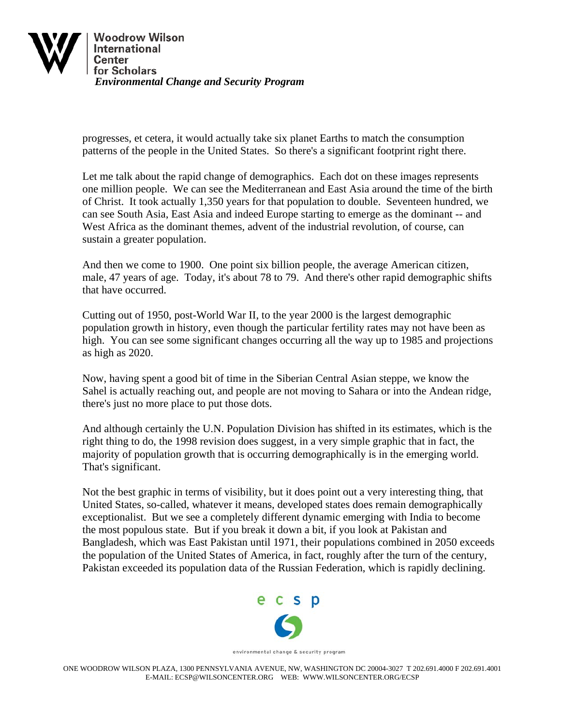

progresses, et cetera, it would actually take six planet Earths to match the consumption patterns of the people in the United States. So there's a significant footprint right there.

Let me talk about the rapid change of demographics. Each dot on these images represents one million people. We can see the Mediterranean and East Asia around the time of the birth of Christ. It took actually 1,350 years for that population to double. Seventeen hundred, we can see South Asia, East Asia and indeed Europe starting to emerge as the dominant -- and West Africa as the dominant themes, advent of the industrial revolution, of course, can sustain a greater population.

And then we come to 1900. One point six billion people, the average American citizen, male, 47 years of age. Today, it's about 78 to 79. And there's other rapid demographic shifts that have occurred.

Cutting out of 1950, post-World War II, to the year 2000 is the largest demographic population growth in history, even though the particular fertility rates may not have been as high. You can see some significant changes occurring all the way up to 1985 and projections as high as 2020.

Now, having spent a good bit of time in the Siberian Central Asian steppe, we know the Sahel is actually reaching out, and people are not moving to Sahara or into the Andean ridge, there's just no more place to put those dots.

And although certainly the U.N. Population Division has shifted in its estimates, which is the right thing to do, the 1998 revision does suggest, in a very simple graphic that in fact, the majority of population growth that is occurring demographically is in the emerging world. That's significant.

Not the best graphic in terms of visibility, but it does point out a very interesting thing, that United States, so-called, whatever it means, developed states does remain demographically exceptionalist. But we see a completely different dynamic emerging with India to become the most populous state. But if you break it down a bit, if you look at Pakistan and Bangladesh, which was East Pakistan until 1971, their populations combined in 2050 exceeds the population of the United States of America, in fact, roughly after the turn of the century, Pakistan exceeded its population data of the Russian Federation, which is rapidly declining.



environmental change & security program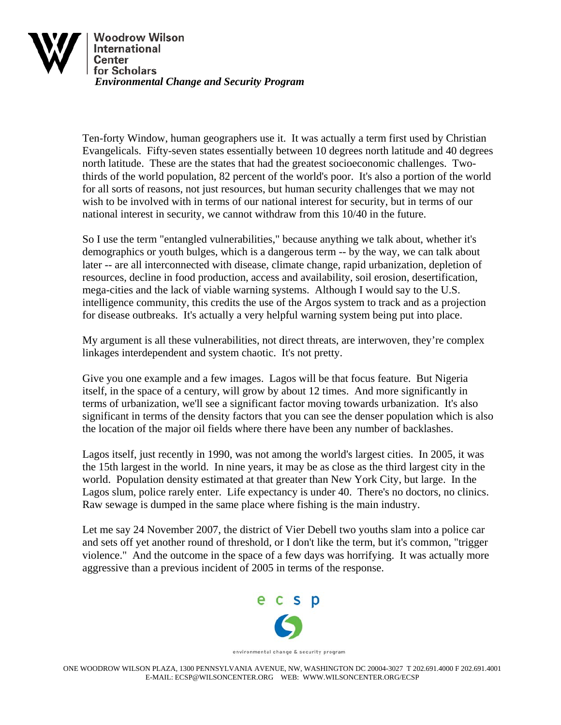

Ten-forty Window, human geographers use it. It was actually a term first used by Christian Evangelicals. Fifty-seven states essentially between 10 degrees north latitude and 40 degrees north latitude. These are the states that had the greatest socioeconomic challenges. Twothirds of the world population, 82 percent of the world's poor. It's also a portion of the world for all sorts of reasons, not just resources, but human security challenges that we may not wish to be involved with in terms of our national interest for security, but in terms of our national interest in security, we cannot withdraw from this 10/40 in the future.

So I use the term "entangled vulnerabilities," because anything we talk about, whether it's demographics or youth bulges, which is a dangerous term -- by the way, we can talk about later -- are all interconnected with disease, climate change, rapid urbanization, depletion of resources, decline in food production, access and availability, soil erosion, desertification, mega-cities and the lack of viable warning systems. Although I would say to the U.S. intelligence community, this credits the use of the Argos system to track and as a projection for disease outbreaks. It's actually a very helpful warning system being put into place.

My argument is all these vulnerabilities, not direct threats, are interwoven, they're complex linkages interdependent and system chaotic. It's not pretty.

Give you one example and a few images. Lagos will be that focus feature. But Nigeria itself, in the space of a century, will grow by about 12 times. And more significantly in terms of urbanization, we'll see a significant factor moving towards urbanization. It's also significant in terms of the density factors that you can see the denser population which is also the location of the major oil fields where there have been any number of backlashes.

Lagos itself, just recently in 1990, was not among the world's largest cities. In 2005, it was the 15th largest in the world. In nine years, it may be as close as the third largest city in the world. Population density estimated at that greater than New York City, but large. In the Lagos slum, police rarely enter. Life expectancy is under 40. There's no doctors, no clinics. Raw sewage is dumped in the same place where fishing is the main industry.

Let me say 24 November 2007, the district of Vier Debell two youths slam into a police car and sets off yet another round of threshold, or I don't like the term, but it's common, "trigger violence." And the outcome in the space of a few days was horrifying. It was actually more aggressive than a previous incident of 2005 in terms of the response.

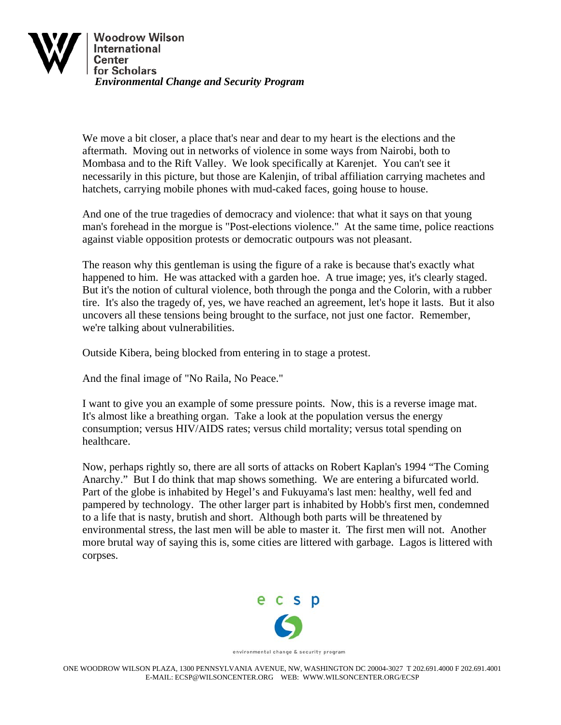

We move a bit closer, a place that's near and dear to my heart is the elections and the aftermath. Moving out in networks of violence in some ways from Nairobi, both to Mombasa and to the Rift Valley. We look specifically at Karenjet. You can't see it necessarily in this picture, but those are Kalenjin, of tribal affiliation carrying machetes and hatchets, carrying mobile phones with mud-caked faces, going house to house.

And one of the true tragedies of democracy and violence: that what it says on that young man's forehead in the morgue is "Post-elections violence." At the same time, police reactions against viable opposition protests or democratic outpours was not pleasant.

The reason why this gentleman is using the figure of a rake is because that's exactly what happened to him. He was attacked with a garden hoe. A true image; yes, it's clearly staged. But it's the notion of cultural violence, both through the ponga and the Colorin, with a rubber tire. It's also the tragedy of, yes, we have reached an agreement, let's hope it lasts. But it also uncovers all these tensions being brought to the surface, not just one factor. Remember, we're talking about vulnerabilities.

Outside Kibera, being blocked from entering in to stage a protest.

And the final image of "No Raila, No Peace."

I want to give you an example of some pressure points. Now, this is a reverse image mat. It's almost like a breathing organ. Take a look at the population versus the energy consumption; versus HIV/AIDS rates; versus child mortality; versus total spending on healthcare.

Now, perhaps rightly so, there are all sorts of attacks on Robert Kaplan's 1994 "The Coming Anarchy." But I do think that map shows something. We are entering a bifurcated world. Part of the globe is inhabited by Hegel's and Fukuyama's last men: healthy, well fed and pampered by technology. The other larger part is inhabited by Hobb's first men, condemned to a life that is nasty, brutish and short. Although both parts will be threatened by environmental stress, the last men will be able to master it. The first men will not. Another more brutal way of saying this is, some cities are littered with garbage. Lagos is littered with corpses.



environmental change & security program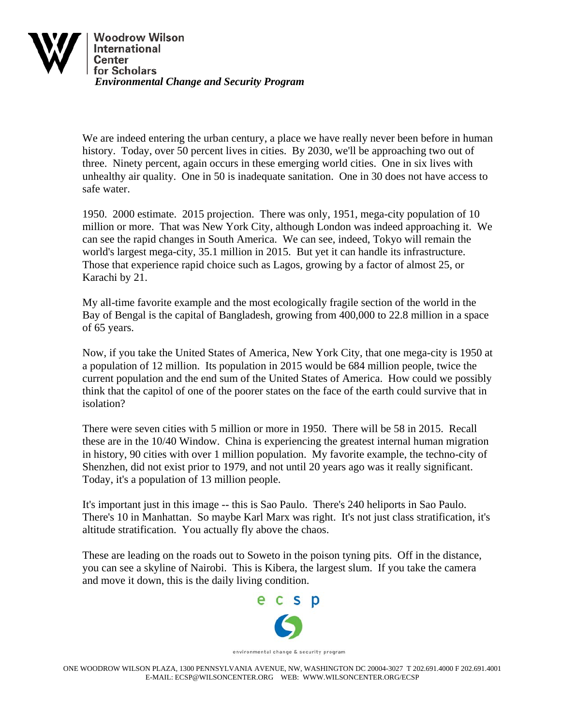

We are indeed entering the urban century, a place we have really never been before in human history. Today, over 50 percent lives in cities. By 2030, we'll be approaching two out of three. Ninety percent, again occurs in these emerging world cities. One in six lives with unhealthy air quality. One in 50 is inadequate sanitation. One in 30 does not have access to safe water.

1950. 2000 estimate. 2015 projection. There was only, 1951, mega-city population of 10 million or more. That was New York City, although London was indeed approaching it. We can see the rapid changes in South America. We can see, indeed, Tokyo will remain the world's largest mega-city, 35.1 million in 2015. But yet it can handle its infrastructure. Those that experience rapid choice such as Lagos, growing by a factor of almost 25, or Karachi by 21.

My all-time favorite example and the most ecologically fragile section of the world in the Bay of Bengal is the capital of Bangladesh, growing from 400,000 to 22.8 million in a space of 65 years.

Now, if you take the United States of America, New York City, that one mega-city is 1950 at a population of 12 million. Its population in 2015 would be 684 million people, twice the current population and the end sum of the United States of America. How could we possibly think that the capitol of one of the poorer states on the face of the earth could survive that in isolation?

There were seven cities with 5 million or more in 1950. There will be 58 in 2015. Recall these are in the 10/40 Window. China is experiencing the greatest internal human migration in history, 90 cities with over 1 million population. My favorite example, the techno-city of Shenzhen, did not exist prior to 1979, and not until 20 years ago was it really significant. Today, it's a population of 13 million people.

It's important just in this image -- this is Sao Paulo. There's 240 heliports in Sao Paulo. There's 10 in Manhattan. So maybe Karl Marx was right. It's not just class stratification, it's altitude stratification. You actually fly above the chaos.

These are leading on the roads out to Soweto in the poison tyning pits. Off in the distance, you can see a skyline of Nairobi. This is Kibera, the largest slum. If you take the camera and move it down, this is the daily living condition.